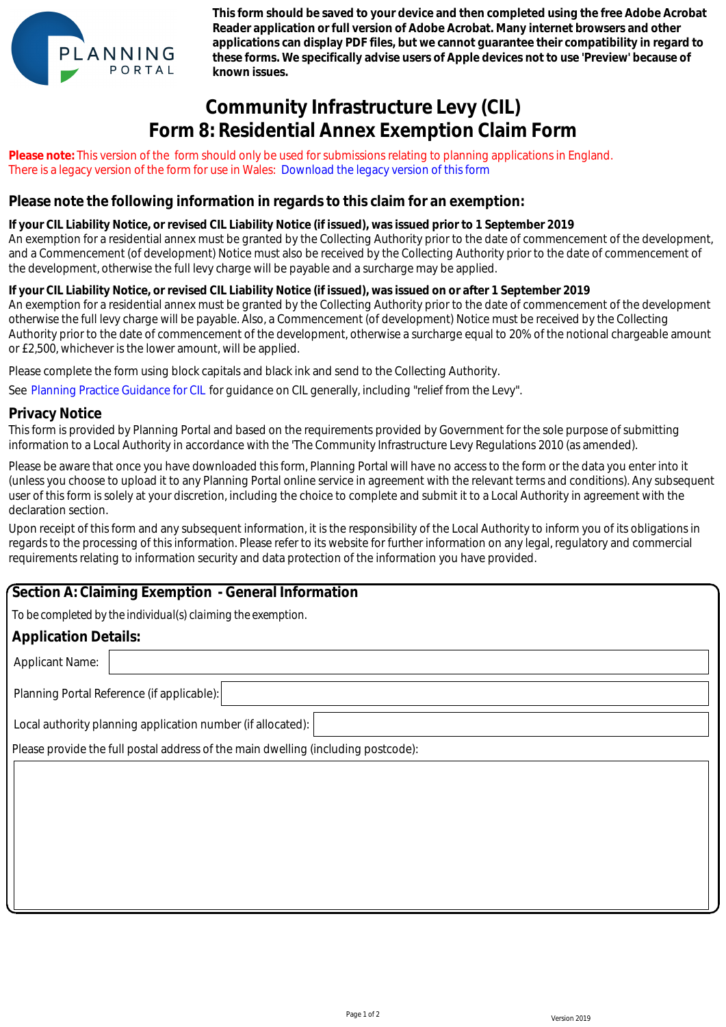

**This form should be saved to your device and then completed using the free Adobe Acrobat Reader application or full version of Adobe Acrobat. Many internet browsers and other applications can display PDF files, but we cannot guarantee their compatibility in regard to these forms. We specifically advise users of Apple devices not to use 'Preview' because of known issues.**

# **Community Infrastructure Levy (CIL) Form 8: Residential Annex Exemption Claim Form**

**Please note:** This version of the form should only be used for submissions relating to planning applications in England. There is a legacy version of the form for use in Wales: Download the legacy version of this form

## **Please note the following information in regards to this claim for an exemption:**

#### **If your CIL Liability Notice, or revised CIL Liability Notice (if issued), was issued prior to 1 September 2019**

An exemption for a residential annex must be granted by the Collecting Authority prior to the date of commencement of the development, and a Commencement (of development) Notice must also be received by the Collecting Authority prior to the date of commencement of the development, otherwise the full levy charge will be payable and a surcharge may be applied.

#### **If your CIL Liability Notice, or revised CIL Liability Notice (if issued), was issued on or after 1 September 2019**

An exemption for a residential annex must be granted by the Collecting Authority prior to the date of commencement of the development otherwise the full levy charge will be payable. Also, a Commencement (of development) Notice must be received by the Collecting Authority prior to the date of commencement of the development, otherwise a surcharge equal to 20% of the notional chargeable amount or £2,500, whichever is the lower amount, will be applied. e is a legacy version of the form for use in Wales: Download the legacy version of this form<br>ase note the following information in regards to this claim for an exempt<br>ur CIL Liability Notice, or revised CIL Liability Notic

Please complete the form using block capitals and black ink and send to the Collecting Authority.

See Planning Practice Guidance for CIL for guidance on CIL generally, including "relief from the Levy".

#### **Privacy Notice**

This form is provided by Planning Portal and based on the requirements provided by Government for the sole purpose of submitting information to a Local Authority in accordance with the 'The Community Infrastructure Levy Regulations 2010 (as amended).

Please be aware that once you have downloaded this form, Planning Portal will have no access to the form or the data you enter into it (unless you choose to upload it to any Planning Portal online service in agreement with the relevant terms and conditions). Any subsequent user of this form is solely at your discretion, including the choice to complete and submit it to a Local Authority in agreement with the declaration section.

Upon receipt of this form and any subsequent information, it is the responsibility of the Local Authority to inform you of its obligations in regards to the processing of this information. Please refer to its website for further information on any legal, regulatory and commercial requirements relating to information security and data protection of the information you have provided.

## **Section A: Claiming Exemption - General Information**

*To be completed by the individual(s) claiming the exemption.*

### **Application Details:**

Applicant Name:

Planning Portal Reference (if applicable):

Local authority planning application number (if allocated):

Please provide the full postal address of the main dwelling (including postcode):